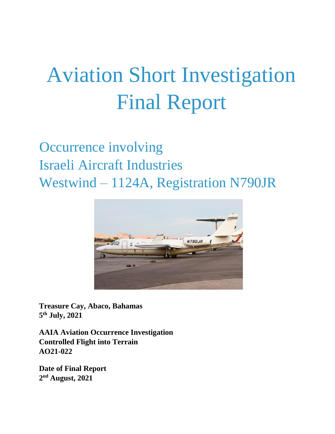# Aviation Short Investigation Final Report

## Occurrence involving Israeli Aircraft Industries Westwind – 1124A, Registration N790JR



**Treasure Cay, Abaco, Bahamas 5 th July, 2021** 

**AAIA Aviation Occurrence Investigation Controlled Flight into Terrain AO21-022** 

**Date of Final Report 2 nd August, 2021**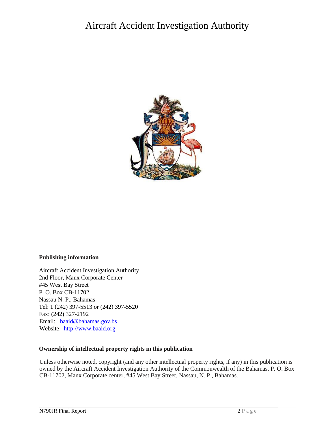

#### **Publishing information**

Aircraft Accident Investigation Authority 2nd Floor, Manx Corporate Center #45 West Bay Street P. O. Box CB-11702 Nassau N. P., Bahamas Tel: 1 (242) 397-5513 or (242) 397-5520 Fax: (242) 327-2192 Email: baaid@bahamas.gov.bs Website: http://www.baaid.org

#### **Ownership of intellectual property rights in this publication**

Unless otherwise noted, copyright (and any other intellectual property rights, if any) in this publication is owned by the Aircraft Accident Investigation Authority of the Commonwealth of the Bahamas, P. O. Box CB-11702, Manx Corporate center, #45 West Bay Street, Nassau, N. P., Bahamas.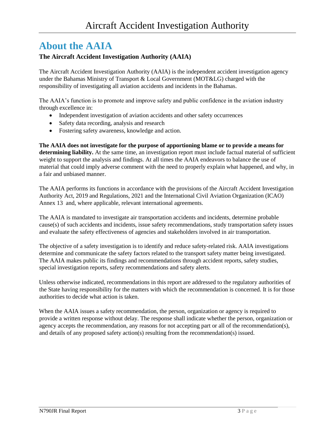### **About the AAIA**

#### **The Aircraft Accident Investigation Authority (AAIA)**

The Aircraft Accident Investigation Authority (AAIA) is the independent accident investigation agency under the Bahamas Ministry of Transport & Local Government (MOT&LG) charged with the responsibility of investigating all aviation accidents and incidents in the Bahamas.

The AAIA's function is to promote and improve safety and public confidence in the aviation industry through excellence in:

- Independent investigation of aviation accidents and other safety occurrences
- Safety data recording, analysis and research
- Fostering safety awareness, knowledge and action.

**The AAIA does not investigate for the purpose of apportioning blame or to provide a means for determining liability.** At the same time, an investigation report must include factual material of sufficient weight to support the analysis and findings. At all times the AAIA endeavors to balance the use of material that could imply adverse comment with the need to properly explain what happened, and why, in a fair and unbiased manner.

The AAIA performs its functions in accordance with the provisions of the Aircraft Accident Investigation Authority Act, 2019 and Regulations, 2021 and the International Civil Aviation Organization (ICAO) Annex 13 and, where applicable, relevant international agreements.

The AAIA is mandated to investigate air transportation accidents and incidents, determine probable cause(s) of such accidents and incidents, issue safety recommendations, study transportation safety issues and evaluate the safety effectiveness of agencies and stakeholders involved in air transportation.

The objective of a safety investigation is to identify and reduce safety-related risk. AAIA investigations determine and communicate the safety factors related to the transport safety matter being investigated. The AAIA makes public its findings and recommendations through accident reports, safety studies, special investigation reports, safety recommendations and safety alerts.

Unless otherwise indicated, recommendations in this report are addressed to the regulatory authorities of the State having responsibility for the matters with which the recommendation is concerned. It is for those authorities to decide what action is taken.

When the AAIA issues a safety recommendation, the person, organization or agency is required to provide a written response without delay. The response shall indicate whether the person, organization or agency accepts the recommendation, any reasons for not accepting part or all of the recommendation(s), and details of any proposed safety action(s) resulting from the recommendation(s) issued.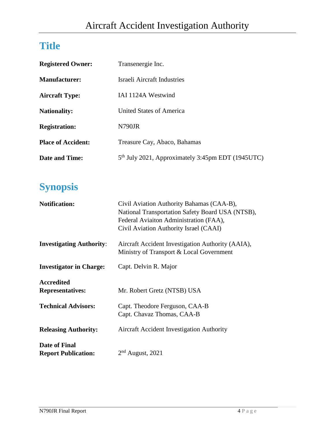### **Title**

| <b>Registered Owner:</b>  | Transenergie Inc.                                             |
|---------------------------|---------------------------------------------------------------|
| Manufacturer:             | Israeli Aircraft Industries                                   |
| <b>Aircraft Type:</b>     | IAI 1124A Westwind                                            |
| <b>Nationality:</b>       | United States of America                                      |
| <b>Registration:</b>      | N790JR                                                        |
| <b>Place of Accident:</b> | Treasure Cay, Abaco, Bahamas                                  |
| <b>Date and Time:</b>     | 5 <sup>th</sup> July 2021, Approximately 3:45pm EDT (1945UTC) |

### **Synopsis**

| <b>Notification:</b>                         | Civil Aviation Authority Bahamas (CAA-B),<br>National Transportation Safety Board USA (NTSB),<br>Federal Aviaiton Administration (FAA),<br>Civil Aviation Authority Israel (CAAI) |
|----------------------------------------------|-----------------------------------------------------------------------------------------------------------------------------------------------------------------------------------|
| <b>Investigating Authority:</b>              | Aircraft Accident Investigation Authority (AAIA),<br>Ministry of Transport & Local Government                                                                                     |
| <b>Investigator in Charge:</b>               | Capt. Delvin R. Major                                                                                                                                                             |
| <b>Accredited</b><br><b>Representatives:</b> | Mr. Robert Gretz (NTSB) USA                                                                                                                                                       |
| <b>Technical Advisors:</b>                   | Capt. Theodore Ferguson, CAA-B<br>Capt. Chavaz Thomas, CAA-B                                                                                                                      |
| <b>Releasing Authority:</b>                  | <b>Aircraft Accident Investigation Authority</b>                                                                                                                                  |
| Date of Final<br><b>Report Publication:</b>  | $2nd$ August, 2021                                                                                                                                                                |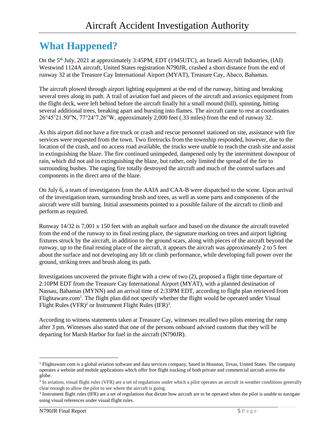### **What Happened?**

On the 5<sup>th</sup> July, 2021 at approximately 3:45PM, EDT (1945UTC), an Israeli Aircraft Industries, (IAI) Westwind 1124A aircraft, United States registration N790JR, crashed a short distance from the end of runway 32 at the Treasure Cay International Airport (MYAT), Treasure Cay, Abaco, Bahamas.

The aircraft plowed through airport lighting equipment at the end of the runway, hitting and breaking several trees along its path. A trail of aviation fuel and pieces of the aircraft and avionics equipment from the flight deck, were left behind before the aircraft finally hit a small mound (hill), spinning, hitting several additional trees, breaking apart and bursting into flames. The aircraft came to rest at coordinates 26°45'21.50"N, 77°24'7.26"W, approximately 2,000 feet (.33 miles) from the end of runway 32.

As this airport did not have a fire truck or crash and rescue personnel stationed on site, assistance with fire services were requested from the town. Two firetrucks from the township responded, however, due to the location of the crash, and no access road available, the trucks were unable to reach the crash site and assist in extinguishing the blaze. The fire continued unimpeded, dampened only by the intermittent downpour of rain, which did not aid in extinguishing the blaze, but rather, only limited the spread of the fire to surrounding bushes. The raging fire totally destroyed the aircraft and much of the control surfaces and components in the direct area of the blaze.

On July 6, a team of investigators from the AAIA and CAA-B were dispatched to the scene. Upon arrival of the investigation team, surrounding brush and trees, as well as some parts and components of the aircraft were still burning. Initial assessments pointed to a possible failure of the aircraft to climb and perform as required.

Runway 14/32 is 7,001 x 150 feet with an asphalt surface and based on the distance the aircraft traveled from the end of the runway to its final resting place, the signature marking on trees and airport lighting fixtures struck by the aircraft, in addition to the ground scars, along with pieces of the aircraft beyond the runway, up to the final resting place of the aircraft, it appears the aircraft was approximately 2 to 5 feet about the surface and not developing any lift or climb performance, while developing full power over the ground, striking trees and brush along its path.

Investigations uncovered the private flight with a crew of two (2), proposed a flight time departure of 2:10PM EDT from the Treasure Cay International Airport (MYAT), with a planned destination of Nassau, Bahamas (MYNN) and an arrival time of 2:33PM EDT, according to flight plan retrieved from Flightaware.com<sup>1</sup>. The flight plan did not specify whether the flight would be operated under Visual Flight Rules (VFR)<sup>2</sup> or Instrument Flight Rules (IFR)<sup>3</sup>.

According to witness statements taken at Treasure Cay, witnesses recalled two pilots entering the ramp after 3 pm. Witnesses also stated that one of the persons onboard advised customs that they will be departing for Marsh Harbor for fuel in the aircraft (N790JR).

l

<sup>&</sup>lt;sup>1</sup> Flightaware.com is a global aviation software and data services company, based in Houston, Texas, United States. The company operates a website and mobile applications which offer free flight tracking of both private and commercial aircraft across the globe.

<sup>&</sup>lt;sup>2</sup> In aviation, visual flight rules (VFR) are a set of regulations under which a pilot operates an aircraft in weather conditions generally clear enough to allow the pilot to see where the aircraft is going.

<sup>&</sup>lt;sup>3</sup> Instrument flight rules (IFR) are a set of regulations that dictate how aircraft are to be operated when the pilot is unable to navigate using visual references under [visual flight rules.](http://aviationknowledge.wikidot.com/aviation:visual-flight-rules)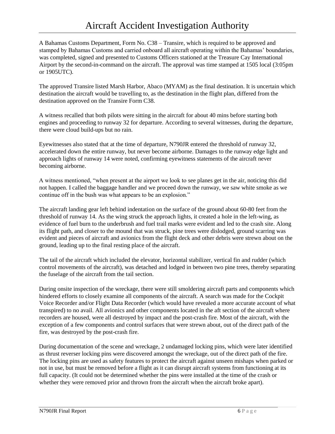A Bahamas Customs Department, Form No. C38 – Transire, which is required to be approved and stamped by Bahamas Customs and carried onboard all aircraft operating within the Bahamas' boundaries, was completed, signed and presented to Customs Officers stationed at the Treasure Cay International Airport by the second-in-command on the aircraft. The approval was time stamped at 1505 local (3:05pm or 1905UTC).

The approved Transire listed Marsh Harbor, Abaco (MYAM) as the final destination. It is uncertain which destination the aircraft would be travelling to, as the destination in the flight plan, differed from the destination approved on the Transire Form C38.

A witness recalled that both pilots were sitting in the aircraft for about 40 mins before starting both engines and proceeding to runway 32 for departure. According to several witnesses, during the departure, there were cloud build-ups but no rain.

Eyewitnesses also stated that at the time of departure, N790JR entered the threshold of runway 32, accelerated down the entire runway, but never become airborne. Damages to the runway edge light and approach lights of runway 14 were noted, confirming eyewitness statements of the aircraft never becoming airborne.

A witness mentioned, "when present at the airport we look to see planes get in the air, noticing this did not happen. I called the baggage handler and we proceed down the runway, we saw white smoke as we continue off in the bush was what appears to be an explosion."

The aircraft landing gear left behind indentation on the surface of the ground about 60-80 feet from the threshold of runway 14. As the wing struck the approach lights, it created a hole in the left-wing, as evidence of fuel burn to the underbrush and fuel trail marks were evident and led to the crash site. Along its flight path, and closer to the mound that was struck, pine trees were dislodged, ground scarring was evident and pieces of aircraft and avionics from the flight deck and other debris were strewn about on the ground, leading up to the final resting place of the aircraft.

The tail of the aircraft which included the elevator, horizontal stabilizer, vertical fin and rudder (which control movements of the aircraft), was detached and lodged in between two pine trees, thereby separating the fuselage of the aircraft from the tail section.

During onsite inspection of the wreckage, there were still smoldering aircraft parts and components which hindered efforts to closely examine all components of the aircraft. A search was made for the Cockpit Voice Recorder and/or Flight Data Recorder (which would have revealed a more accurate account of what transpired) to no avail. All avionics and other components located in the aft section of the aircraft where recorders are housed, were all destroyed by impact and the post-crash fire. Most of the aircraft, with the exception of a few components and control surfaces that were strewn about, out of the direct path of the fire, was destroyed by the post-crash fire.

During documentation of the scene and wreckage, 2 undamaged locking pins, which were later identified as thrust reverser locking pins were discovered amongst the wreckage, out of the direct path of the fire. The locking pins are used as safety features to protect the aircraft against unseen mishaps when parked or not in use, but must be removed before a flight as it can disrupt aircraft systems from functioning at its full capacity. (It could not be determined whether the pins were installed at the time of the crash or whether they were removed prior and thrown from the aircraft when the aircraft broke apart).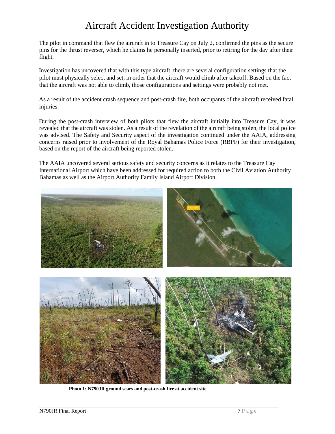The pilot in command that flew the aircraft in to Treasure Cay on July 2, confirmed the pins as the secure pins for the thrust reverser, which he claims he personally inserted, prior to retiring for the day after their flight.

Investigation has uncovered that with this type aircraft, there are several configuration settings that the pilot must physically select and set, in order that the aircraft would climb after takeoff. Based on the fact that the aircraft was not able to climb, those configurations and settings were probably not met.

As a result of the accident crash sequence and post-crash fire, both occupants of the aircraft received fatal injuries.

During the post-crash interview of both pilots that flew the aircraft initially into Treasure Cay, it was revealed that the aircraft was stolen. As a result of the revelation of the aircraft being stolen, the local police was advised. The Safety and Security aspect of the investigation continued under the AAIA, addressing concerns raised prior to involvement of the Royal Bahamas Police Force (RBPF) for their investigation, based on the report of the aircraft being reported stolen.

The AAIA uncovered several serious safety and security concerns as it relates to the Treasure Cay International Airport which have been addressed for required action to both the Civil Aviation Authority Bahamas as well as the Airport Authority Family Island Airport Division.



**Photo 1: N790JR ground scars and post-crash fire at accident site**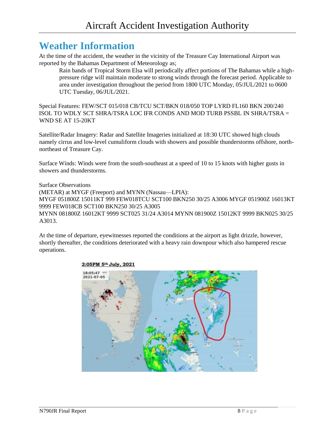### **Weather Information**

At the time of the accident, the weather in the vicinity of the Treasure Cay International Airport was reported by the Bahamas Department of Meteorology as;

Rain bands of Tropical Storm Elsa will periodically affect portions of The Bahamas while a highpressure ridge will maintain moderate to strong winds through the forecast period. Applicable to area under investigation throughout the period from 1800 UTC Monday, 05/JUL/2021 to 0600 UTC Tuesday, 06/JUL/2021.

Special Features: FEW/SCT 015/018 CB/TCU SCT/BKN 018/050 TOP LYRD FL160 BKN 200/240 ISOL TO WDLY SCT SHRA/TSRA LOC IFR CONDS AND MOD TURB PSSBL IN SHRA/TSRA = WND SE AT 15-20KT

Satellite/Radar Imagery: Radar and Satellite Imageries initialized at 18:30 UTC showed high clouds namely cirrus and low-level cumuliform clouds with showers and possible thunderstorms offshore, northnortheast of Treasure Cay.

Surface Winds: Winds were from the south-southeast at a speed of 10 to 15 knots with higher gusts in showers and thunderstorms.

Surface Observations

(METAR) at MYGF (Freeport) and MYNN (Nassau—LPIA): MYGF 051800Z 15011KT 999 FEW018TCU SCT100 BKN250 30/25 A3006 MYGF 051900Z 16013KT 9999 FEW018CB SCT100 BKN250 30/25 A3005 MYNN 081800Z 16012KT 9999 SCT025 31/24 A3014 MYNN 081900Z 15012KT 9999 BKN025 30/25 A3013.

At the time of departure, eyewitnesses reported the conditions at the airport as light drizzle, however, shortly thereafter, the conditions deteriorated with a heavy rain downpour which also hampered rescue operations.



#### 2:05PM 5th July, 2021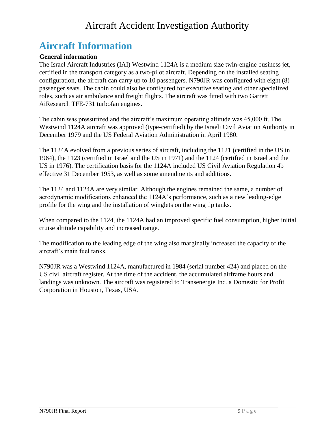### **Aircraft Information**

#### **General information**

The Israel Aircraft Industries (IAI) Westwind 1124A is a medium size twin-engine business jet, certified in the transport category as a two-pilot aircraft. Depending on the installed seating configuration, the aircraft can carry up to 10 passengers. N790JR was configured with eight (8) passenger seats. The cabin could also be configured for executive seating and other specialized roles, such as air ambulance and freight flights. The aircraft was fitted with two Garrett AiResearch TFE-731 turbofan engines.

The cabin was pressurized and the aircraft's maximum operating altitude was 45,000 ft. The Westwind 1124A aircraft was approved (type-certified) by the Israeli Civil Aviation Authority in December 1979 and the US Federal Aviation Administration in April 1980.

The 1124A evolved from a previous series of aircraft, including the 1121 (certified in the US in 1964), the 1123 (certified in Israel and the US in 1971) and the 1124 (certified in Israel and the US in 1976). The certification basis for the 1124A included US Civil Aviation Regulation 4b effective 31 December 1953, as well as some amendments and additions.

The 1124 and 1124A are very similar. Although the engines remained the same, a number of aerodynamic modifications enhanced the 1124A's performance, such as a new leading-edge profile for the wing and the installation of winglets on the wing tip tanks.

When compared to the 1124, the 1124A had an improved specific fuel consumption, higher initial cruise altitude capability and increased range.

The modification to the leading edge of the wing also marginally increased the capacity of the aircraft's main fuel tanks.

N790JR was a Westwind 1124A, manufactured in 1984 (serial number 424) and placed on the US civil aircraft register. At the time of the accident, the accumulated airframe hours and landings was unknown. The aircraft was registered to Transenergie Inc. a Domestic for Profit Corporation in Houston, Texas, USA.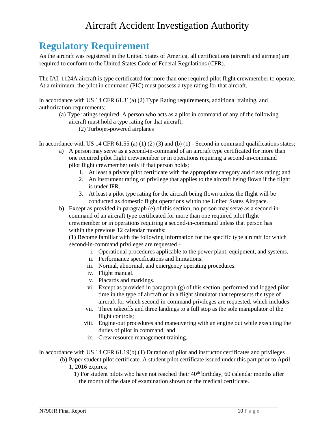### **Regulatory Requirement**

As the aircraft was registered in the United States of America, all certifications (aircraft and airmen) are required to conform to the United States Code of Federal Regulations (CFR).

The IAI, 1124A aircraft is type certificated for more than one required pilot flight crewmember to operate. At a minimum, the pilot in command (PIC) must possess a type rating for that aircraft.

In accordance with US 14 CFR 61.31(a) (2) Type Rating requirements, additional training, and authorization requirements;

- (a) Type ratings required. A person who acts as a pilot in command of any of the following aircraft must hold a type rating for that aircraft;
	- (2) Turbojet-powered airplanes

In accordance with US 14 CFR 61.55 (a) (1) (2) (3) and (b) (1) - Second in command qualifications states;

- a) A person may serve as a second-in-command of an aircraft type certificated for more than one required pilot flight crewmember or in operations requiring a second-in-command pilot flight crewmember only if that person holds;
	- 1. At least a private pilot certificate with the appropriate category and class rating; and
	- 2. An instrument rating or privilege that applies to the aircraft being flown if the flight is under IFR.
	- 3. At least a pilot type rating for the aircraft being flown unless the flight will be conducted as domestic flight operations within the United States Airspace.
- b) Except as provided i[n](https://www.law.cornell.edu/cfr/text/14/61.55#e) [paragraph \(e\)](https://www.law.cornell.edu/cfr/text/14/61.55#e) of this section, n[o](https://www.law.cornell.edu/definitions/index.php?width=840&height=800&iframe=true&def_id=0dc5e415556e65322f1454c927515578&term_occur=999&term_src=Title:14:Chapter:I:Subchapter:D:Part:61:Subpart:A:61.55) [person](https://www.law.cornell.edu/definitions/index.php?width=840&height=800&iframe=true&def_id=0dc5e415556e65322f1454c927515578&term_occur=999&term_src=Title:14:Chapter:I:Subchapter:D:Part:61:Subpart:A:61.55) may serve as a second-incommand of a[n](https://www.law.cornell.edu/definitions/index.php?width=840&height=800&iframe=true&def_id=8e9caab04f792d93d0738c9d3290164e&term_occur=999&term_src=Title:14:Chapter:I:Subchapter:D:Part:61:Subpart:A:61.55) [aircraft](https://www.law.cornell.edu/definitions/index.php?width=840&height=800&iframe=true&def_id=8e9caab04f792d93d0738c9d3290164e&term_occur=999&term_src=Title:14:Chapter:I:Subchapter:D:Part:61:Subpart:A:61.55) [t](https://www.law.cornell.edu/definitions/index.php?width=840&height=800&iframe=true&def_id=8e9caab04f792d93d0738c9d3290164e&term_occur=999&term_src=Title:14:Chapter:I:Subchapter:D:Part:61:Subpart:A:61.55)ype certificated for more than one required pilot fligh[t](https://www.law.cornell.edu/definitions/index.php?width=840&height=800&iframe=true&def_id=d3d24a831020443b5f202a681f24e446&term_occur=999&term_src=Title:14:Chapter:I:Subchapter:D:Part:61:Subpart:A:61.55) [crewmember](https://www.law.cornell.edu/definitions/index.php?width=840&height=800&iframe=true&def_id=d3d24a831020443b5f202a681f24e446&term_occur=999&term_src=Title:14:Chapter:I:Subchapter:D:Part:61:Subpart:A:61.55) or in operations requiring a second-in-command unless that [person](https://www.law.cornell.edu/definitions/index.php?width=840&height=800&iframe=true&def_id=0dc5e415556e65322f1454c927515578&term_occur=999&term_src=Title:14:Chapter:I:Subchapter:D:Part:61:Subpart:A:61.55) has within the previous 12 calendar months:

(1) Become familiar with the following information for the specific typ[e](https://www.law.cornell.edu/definitions/index.php?width=840&height=800&iframe=true&def_id=8e9caab04f792d93d0738c9d3290164e&term_occur=999&term_src=Title:14:Chapter:I:Subchapter:D:Part:61:Subpart:A:61.55) [aircraft](https://www.law.cornell.edu/definitions/index.php?width=840&height=800&iframe=true&def_id=8e9caab04f792d93d0738c9d3290164e&term_occur=999&term_src=Title:14:Chapter:I:Subchapter:D:Part:61:Subpart:A:61.55) [f](https://www.law.cornell.edu/definitions/index.php?width=840&height=800&iframe=true&def_id=8e9caab04f792d93d0738c9d3290164e&term_occur=999&term_src=Title:14:Chapter:I:Subchapter:D:Part:61:Subpart:A:61.55)or which second-in-command privileges are requested -

- i. Operational procedures applicable to the power plant, equipment, and systems.
- ii. Performance specifications and limitations.
- iii. Normal, abnormal, and emergency operating procedures.
- iv. Flight manual.
- v. Placards and markings.
- vi. Except as provided i[n](https://www.law.cornell.edu/cfr/text/14/61.55#g) [paragraph \(g\)](https://www.law.cornell.edu/cfr/text/14/61.55#g) [o](https://www.law.cornell.edu/cfr/text/14/61.55#g)f this section, performed and logged [pilot](https://www.law.cornell.edu/definitions/index.php?width=840&height=800&iframe=true&def_id=a479e784e423e31665fb7b7733dc4e8b&term_occur=999&term_src=Title:14:Chapter:I:Subchapter:D:Part:61:Subpart:A:61.55)  [time](https://www.law.cornell.edu/definitions/index.php?width=840&height=800&iframe=true&def_id=a479e784e423e31665fb7b7733dc4e8b&term_occur=999&term_src=Title:14:Chapter:I:Subchapter:D:Part:61:Subpart:A:61.55) [i](https://www.law.cornell.edu/definitions/index.php?width=840&height=800&iframe=true&def_id=a479e784e423e31665fb7b7733dc4e8b&term_occur=999&term_src=Title:14:Chapter:I:Subchapter:D:Part:61:Subpart:A:61.55)n the type o[f](https://www.law.cornell.edu/definitions/index.php?width=840&height=800&iframe=true&def_id=8e9caab04f792d93d0738c9d3290164e&term_occur=999&term_src=Title:14:Chapter:I:Subchapter:D:Part:61:Subpart:A:61.55) [aircraft](https://www.law.cornell.edu/definitions/index.php?width=840&height=800&iframe=true&def_id=8e9caab04f792d93d0738c9d3290164e&term_occur=999&term_src=Title:14:Chapter:I:Subchapter:D:Part:61:Subpart:A:61.55) or in a flight simulator that represents the type o[f](https://www.law.cornell.edu/definitions/index.php?width=840&height=800&iframe=true&def_id=8e9caab04f792d93d0738c9d3290164e&term_occur=999&term_src=Title:14:Chapter:I:Subchapter:D:Part:61:Subpart:A:61.55) [aircraft](https://www.law.cornell.edu/definitions/index.php?width=840&height=800&iframe=true&def_id=8e9caab04f792d93d0738c9d3290164e&term_occur=999&term_src=Title:14:Chapter:I:Subchapter:D:Part:61:Subpart:A:61.55) [f](https://www.law.cornell.edu/definitions/index.php?width=840&height=800&iframe=true&def_id=8e9caab04f792d93d0738c9d3290164e&term_occur=999&term_src=Title:14:Chapter:I:Subchapter:D:Part:61:Subpart:A:61.55)or which second-in-command privileges are requested, which includes
- vii. Three takeoffs and three landings to a full stop as the sole manipulator of the flight controls;
- viii. Engine-out procedures and maneuvering with an engine out while executing the duties o[f](https://www.law.cornell.edu/definitions/index.php?width=840&height=800&iframe=true&def_id=d6746fcc8c91658e56adcdfd8fbd4068&term_occur=999&term_src=Title:14:Chapter:I:Subchapter:D:Part:61:Subpart:A:61.55) [pilot in command;](https://www.law.cornell.edu/definitions/index.php?width=840&height=800&iframe=true&def_id=d6746fcc8c91658e56adcdfd8fbd4068&term_occur=999&term_src=Title:14:Chapter:I:Subchapter:D:Part:61:Subpart:A:61.55) and
- ix. Crew resource management training.

In accordance with US 14 CFR 61.19(b) (1) Duration of pilot and instructor certificates and privileges

- (b) Paper student pilot certificate. A student pilot certificate issued under this part prior to April 1, 2016 expires;
	- 1) For student pilots who have not reached their  $40<sup>th</sup>$  birthday, 60 calendar months after the month of the date of examination shown on the medical certificate.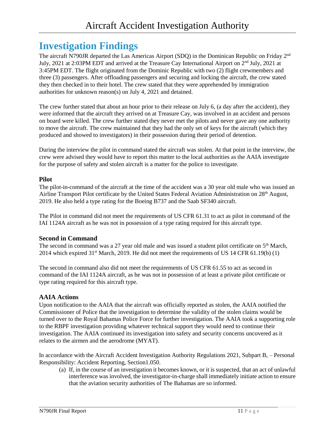### **Investigation Findings**

The aircraft N790JR departed the Las Americas Airport (SDO) in the Dominican Republic on Friday 2<sup>nd</sup> July, 2021 at 2:03PM EDT and arrived at the Treasure Cay International Airport on 2<sup>nd</sup> July, 2021 at 3:45PM EDT. The flight originated from the Dominic Republic with two (2) flight crewmembers and three (3) passengers. After offloading passengers and securing and locking the aircraft, the crew stated they then checked in to their hotel. The crew stated that they were apprehended by immigration authorities for unknown reason(s) on July 4, 2021 and detained.

The crew further stated that about an hour prior to their release on July 6, (a day after the accident), they were informed that the aircraft they arrived on at Treasure Cay, was involved in an accident and persons on board were killed. The crew further stated they never met the pilots and never gave any one authority to move the aircraft. The crew maintained that they had the only set of keys for the aircraft (which they produced and showed to investigators) in their possession during their period of detention.

During the interview the pilot in command stated the aircraft was stolen. At that point in the interview, the crew were advised they would have to report this matter to the local authorities as the AAIA investigate for the purpose of safety and stolen aircraft is a matter for the police to investigate.

#### **Pilot**

The pilot-in-command of the aircraft at the time of the accident was a 30 year old male who was issued an Airline Transport Pilot certificate by the United States Federal Aviation Administration on 28th August, 2019. He also held a type rating for the Boeing B737 and the Saab SF340 aircraft.

The Pilot in command did not meet the requirements of US CFR 61.31 to act as pilot in command of the IAI 1124A aircraft as he was not in possession of a type rating required for this aircraft type.

#### **Second in Command**

The second in command was a 27 year old male and was issued a student pilot certificate on 5<sup>th</sup> March, 2014 which expired 31st March, 2019. He did not meet the requirements of US 14 CFR 61.19(b) (1)

The second in command also did not meet the requirements of US CFR 61.55 to act as second in command of the IAI 1124A aircraft, as he was not in possession of at least a private pilot certificate or type rating required for this aircraft type.

#### **AAIA Actions**

Upon notification to the AAIA that the aircraft was officially reported as stolen, the AAIA notified the Commissioner of Police that the investigation to determine the validity of the stolen claims would be turned over to the Royal Bahamas Police Force for further investigation. The AAIA took a supporting role to the RBPF investigation providing whatever technical support they would need to continue their investigation. The AAIA continued its investigation into safety and security concerns uncovered as it relates to the airmen and the aerodrome (MYAT).

In accordance with the Aircraft Accident Investigation Authority Regulations 2021, Subpart B, – Personal Responsibility: Accident Reporting, Section1.050.

(a) If, in the course of an investigation it becomes known, or it is suspected, that an act of unlawful interference was involved, the investigator-in-charge shall immediately initiate action to ensure that the aviation security authorities of The Bahamas are so informed.